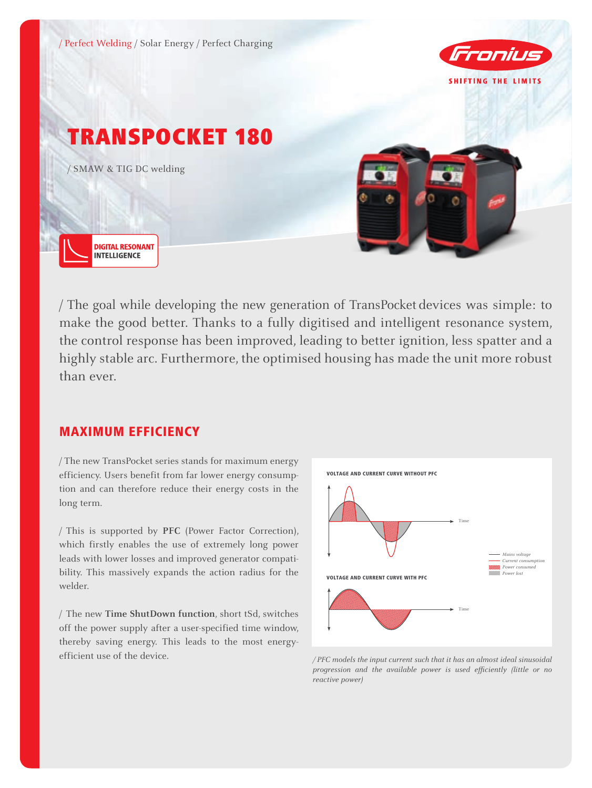

/ The goal while developing the new generation of TransPocket devices was simple: to make the good better. Thanks to a fully digitised and intelligent resonance system, the control response has been improved, leading to better ignition, less spatter and a highly stable arc. Furthermore, the optimised housing has made the unit more robust than ever.

## MAXIMUM EFFICIENCY

/ The new TransPocket series stands for maximum energy efficiency. Users benefit from far lower energy consumption and can therefore reduce their energy costs in the long term.

/ This is supported by **PFC** (Power Factor Correction), which firstly enables the use of extremely long power leads with lower losses and improved generator compatibility. This massively expands the action radius for the welder.

/ The new **Time ShutDown function**, short tSd, switches off the power supply after a user-specified time window, thereby saving energy. This leads to the most energyefficient use of the device. */ PFC models the input current such that it has an almost ideal sinusoidal* 



*progression and the available power is used efficiently (little or no reactive power)*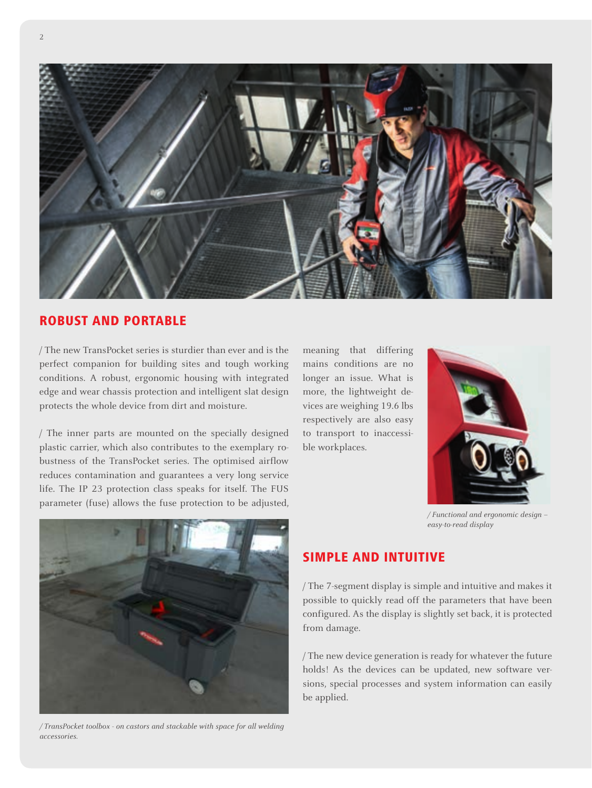

#### ROBUST AND PORTABLE

/ The new TransPocket series is sturdier than ever and is the perfect companion for building sites and tough working conditions. A robust, ergonomic housing with integrated edge and wear chassis protection and intelligent slat design protects the whole device from dirt and moisture.

/ The inner parts are mounted on the specially designed plastic carrier, which also contributes to the exemplary robustness of the TransPocket series. The optimised airflow reduces contamination and guarantees a very long service life. The IP 23 protection class speaks for itself. The FUS parameter (fuse) allows the fuse protection to be adjusted,

meaning that differing mains conditions are no longer an issue. What is more, the lightweight devices are weighing 19.6 lbs respectively are also easy to transport to inaccessible workplaces.



*/ Functional and ergonomic design – easy-to-read display*



*/ TransPocket toolbox - on castors and stackable with space for all welding accessories.*

## SIMPLE AND INTUITIVE

/ The 7-segment display is simple and intuitive and makes it possible to quickly read off the parameters that have been configured. As the display is slightly set back, it is protected from damage.

/ The new device generation is ready for whatever the future holds! As the devices can be updated, new software versions, special processes and system information can easily be applied.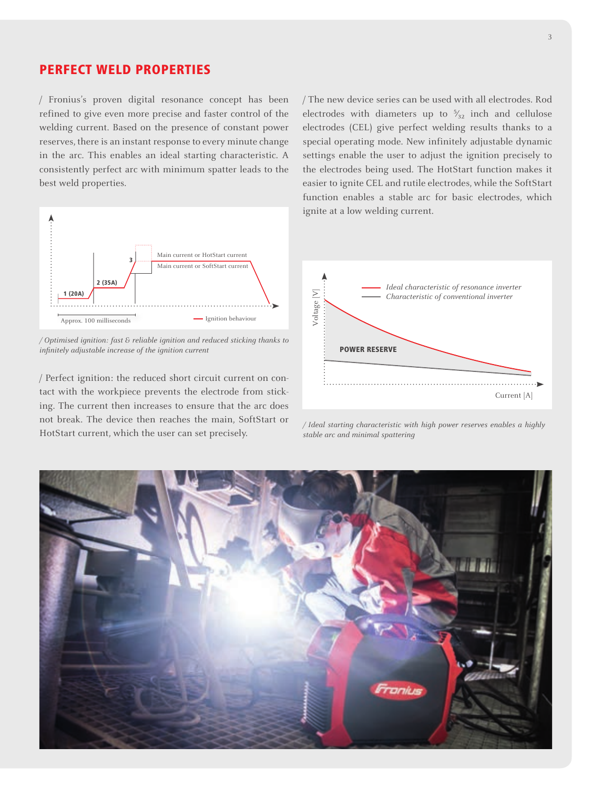## PERFECT WELD PROPERTIES

/ Fronius's proven digital resonance concept has been refined to give even more precise and faster control of the welding current. Based on the presence of constant power reserves, there is an instant response to every minute change in the arc. This enables an ideal starting characteristic. A consistently perfect arc with minimum spatter leads to the best weld properties.



*/ Optimised ignition: fast & reliable ignition and reduced sticking thanks to infinitely adjustable increase of the ignition current*

/ Perfect ignition: the reduced short circuit current on contact with the workpiece prevents the electrode from sticking. The current then increases to ensure that the arc does not break. The device then reaches the main, SoftStart or HotStart current, which the user can set precisely.

/ The new device series can be used with all electrodes. Rod electrodes with diameters up to  $\frac{5}{32}$  inch and cellulose electrodes (CEL) give perfect welding results thanks to a special operating mode. New infinitely adjustable dynamic settings enable the user to adjust the ignition precisely to the electrodes being used. The HotStart function makes it easier to ignite CEL and rutile electrodes, while the SoftStart function enables a stable arc for basic electrodes, which ignite at a low welding current.



*/ Ideal starting characteristic with high power reserves enables a highly stable arc and minimal spattering*